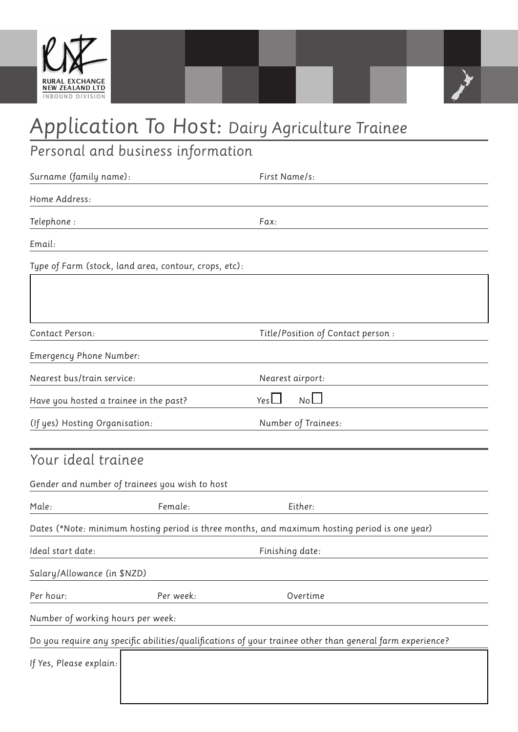



## *Personal and business information*

| Surname (family name):                                |           | First Name/s:                                                                                            |
|-------------------------------------------------------|-----------|----------------------------------------------------------------------------------------------------------|
| Home Address:                                         |           |                                                                                                          |
| Telephone:                                            |           | Fax:                                                                                                     |
| Email:                                                |           |                                                                                                          |
| Type of Farm (stock, land area, contour, crops, etc): |           |                                                                                                          |
|                                                       |           |                                                                                                          |
|                                                       |           |                                                                                                          |
| Contact Person:                                       |           | Title/Position of Contact person :                                                                       |
| Emergency Phone Number:                               |           |                                                                                                          |
| Nearest bus/train service:                            |           | Nearest airport:                                                                                         |
| Have you hosted a trainee in the past?                |           | NoLI<br>Yes $\Box$                                                                                       |
| (If yes) Hosting Organisation:                        |           | Number of Trainees:                                                                                      |
|                                                       |           |                                                                                                          |
| Your ideal trainee                                    |           |                                                                                                          |
| Gender and number of trainees you wish to host        |           |                                                                                                          |
| Male:                                                 | Female:   | Either:                                                                                                  |
|                                                       |           | Dates (*Note: minimum hosting period is three months, and maximum hosting period is one year)            |
| Ideal start date:                                     |           | Finishing date:                                                                                          |
| Salary/Allowance (in \$NZD)                           |           |                                                                                                          |
| Per hour:                                             | Per week: | Overtime                                                                                                 |
| Number of working hours per week:                     |           |                                                                                                          |
|                                                       |           | Do you require any specific abilities/qualifications of your trainee other than general farm experience? |
| If Yes, Please explain:                               |           |                                                                                                          |
|                                                       |           |                                                                                                          |